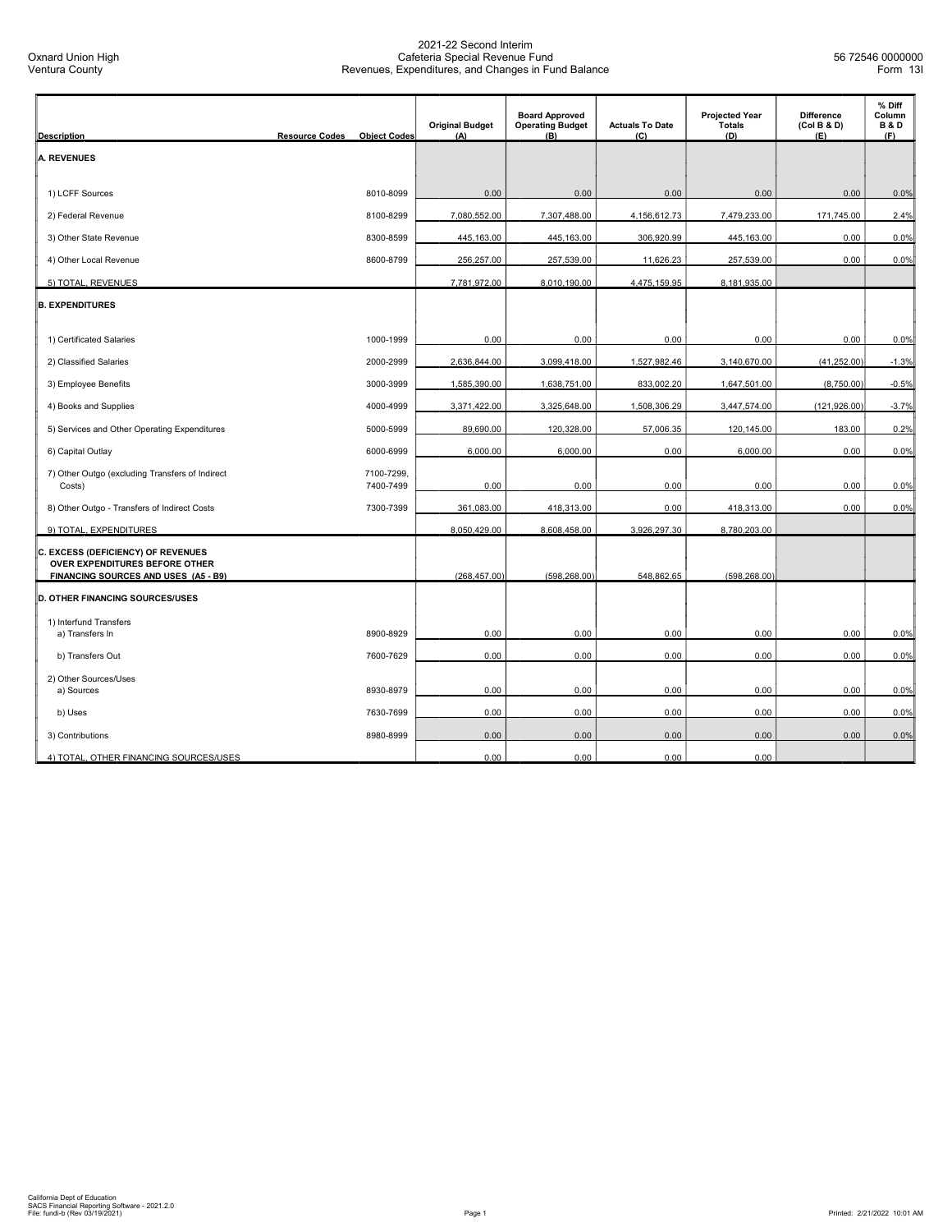| <b>Description</b>                                                             | <b>Resource Codes</b><br><b>Object Codes</b> | <b>Original Budget</b><br>(A) | <b>Board Approved</b><br><b>Operating Budget</b><br>(B) | <b>Actuals To Date</b><br>(C) | <b>Projected Year</b><br><b>Totals</b><br>(D) | <b>Difference</b><br>(Col B & D)<br>(E) | % Diff<br>Column<br><b>B&amp;D</b><br>(F) |
|--------------------------------------------------------------------------------|----------------------------------------------|-------------------------------|---------------------------------------------------------|-------------------------------|-----------------------------------------------|-----------------------------------------|-------------------------------------------|
| <b>A. REVENUES</b>                                                             |                                              |                               |                                                         |                               |                                               |                                         |                                           |
|                                                                                |                                              |                               |                                                         |                               |                                               |                                         |                                           |
| 1) LCFF Sources                                                                | 8010-8099                                    | 0.00                          | 0.00                                                    | 0.00                          | 0.00                                          | 0.00                                    | 0.0%                                      |
| 2) Federal Revenue                                                             | 8100-8299                                    | 7,080,552.00                  | 7,307,488.00                                            | 4,156,612.73                  | 7,479,233.00                                  | 171,745.00                              | 2.4%                                      |
| 3) Other State Revenue                                                         | 8300-8599                                    | 445,163.00                    | 445,163.00                                              | 306,920.99                    | 445,163.00                                    | 0.00                                    | 0.0%                                      |
| 4) Other Local Revenue                                                         | 8600-8799                                    | 256,257.00                    | 257,539.00                                              | 11,626.23                     | 257,539.00                                    | 0.00                                    | 0.0%                                      |
| 5) TOTAL, REVENUES                                                             |                                              | 7,781,972.00                  | 8,010,190.00                                            | 4,475,159.95                  | 8,181,935.00                                  |                                         |                                           |
| <b>B. EXPENDITURES</b>                                                         |                                              |                               |                                                         |                               |                                               |                                         |                                           |
| 1) Certificated Salaries                                                       | 1000-1999                                    | 0.00                          | 0.00                                                    | 0.00                          | 0.00                                          | 0.00                                    | 0.0%                                      |
| 2) Classified Salaries                                                         | 2000-2999                                    | 2,636,844.00                  | 3,099,418.00                                            | 1,527,982.46                  | 3,140,670.00                                  | (41, 252.00)                            | $-1.3%$                                   |
| 3) Employee Benefits                                                           | 3000-3999                                    | 1,585,390.00                  | 1,638,751.00                                            | 833,002.20                    | 1,647,501.00                                  | (8,750.00)                              | $-0.5%$                                   |
| 4) Books and Supplies                                                          | 4000-4999                                    | 3,371,422.00                  | 3,325,648.00                                            | 1,508,306.29                  | 3,447,574.00                                  | (121, 926.00)                           | $-3.7%$                                   |
| 5) Services and Other Operating Expenditures                                   | 5000-5999                                    | 89,690.00                     | 120,328.00                                              | 57,006.35                     | 120,145.00                                    | 183.00                                  | 0.2%                                      |
| 6) Capital Outlay                                                              | 6000-6999                                    | 6,000.00                      | 6,000.00                                                | 0.00                          | 6,000.00                                      | 0.00                                    | 0.0%                                      |
| 7) Other Outgo (excluding Transfers of Indirect<br>Costs)                      | 7100-7299,<br>7400-7499                      | 0.00                          | 0.00                                                    | 0.00                          | 0.00                                          | 0.00                                    | 0.0%                                      |
| 8) Other Outgo - Transfers of Indirect Costs                                   | 7300-7399                                    | 361,083.00                    | 418,313.00                                              | 0.00                          | 418,313.00                                    | 0.00                                    | 0.0%                                      |
| 9) TOTAL, EXPENDITURES                                                         |                                              | 8,050,429.00                  | 8,608,458.00                                            | 3,926,297.30                  | 8,780,203.00                                  |                                         |                                           |
| C. EXCESS (DEFICIENCY) OF REVENUES<br>OVER EXPENDITURES BEFORE OTHER           |                                              |                               |                                                         |                               |                                               |                                         |                                           |
| FINANCING SOURCES AND USES (A5 - B9)<br><b>D. OTHER FINANCING SOURCES/USES</b> |                                              | (268, 457.00)                 | (598, 268.00)                                           | 548,862.65                    | (598, 268.00)                                 |                                         |                                           |
| 1) Interfund Transfers                                                         |                                              |                               |                                                         |                               |                                               |                                         |                                           |
| a) Transfers In                                                                | 8900-8929                                    | 0.00                          | 0.00                                                    | 0.00                          | 0.00                                          | 0.00                                    | 0.0%                                      |
| b) Transfers Out                                                               | 7600-7629                                    | 0.00                          | 0.00                                                    | 0.00                          | 0.00                                          | 0.00                                    | 0.0%                                      |
| 2) Other Sources/Uses<br>a) Sources                                            | 8930-8979                                    | 0.00                          | 0.00                                                    | 0.00                          | 0.00                                          | 0.00                                    | 0.0%                                      |
|                                                                                |                                              |                               |                                                         | 0.00                          |                                               | 0.00                                    |                                           |
| b) Uses                                                                        | 7630-7699<br>8980-8999                       | 0.00<br>0.00                  | 0.00<br>0.00                                            | 0.00                          | 0.00<br>0.00                                  | 0.00                                    | 0.0%<br>0.0%                              |
| 3) Contributions<br>4) TOTAL, OTHER FINANCING SOURCES/USES                     |                                              | 0.00                          | 0.00                                                    | 0.00                          | 0.00                                          |                                         |                                           |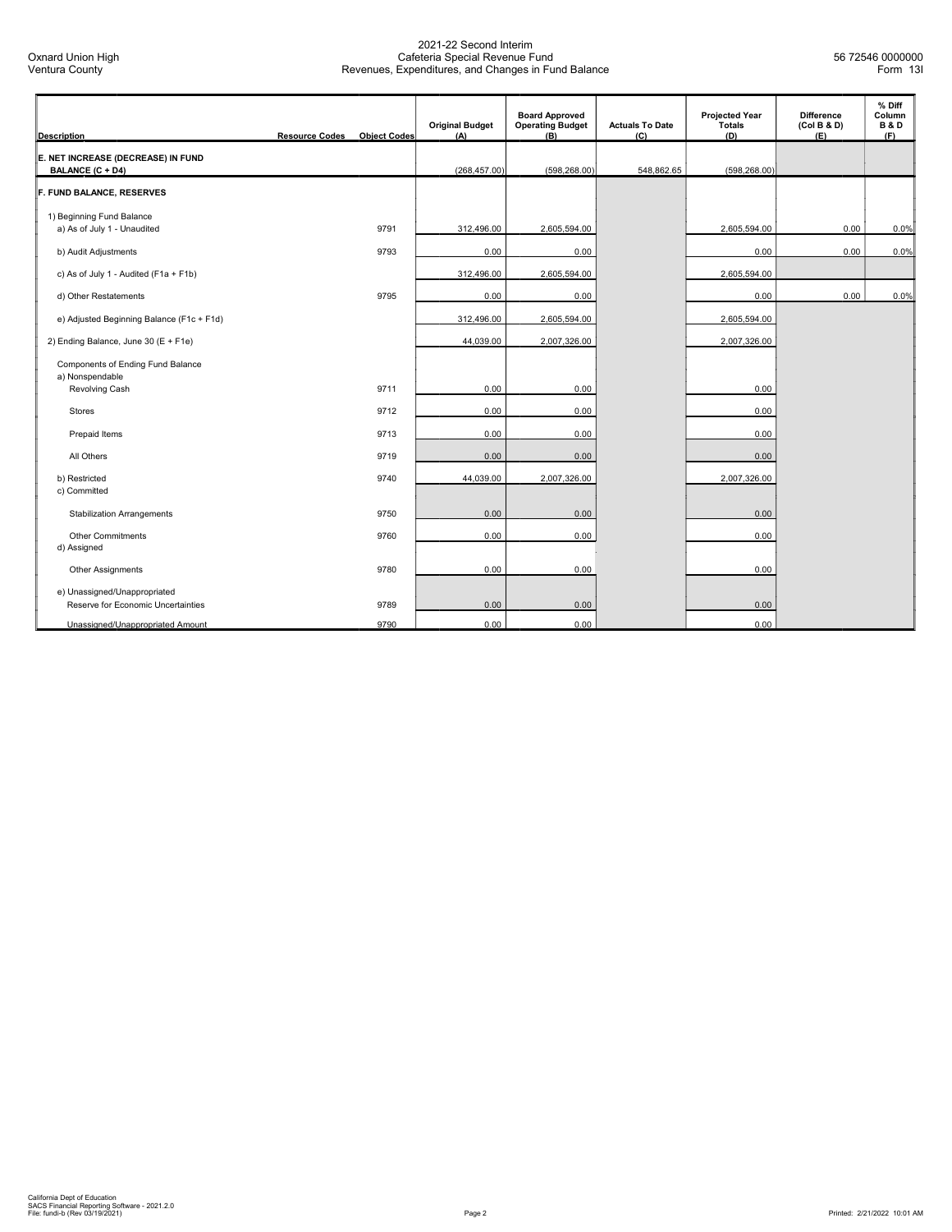| <b>Description</b>                                                 | <b>Resource Codes</b> | <b>Object Codes</b> | <b>Original Budget</b><br>(A) | <b>Board Approved</b><br><b>Operating Budget</b><br>(B) | <b>Actuals To Date</b><br>(C) | <b>Projected Year</b><br>Totals<br>(D) | <b>Difference</b><br>(Col B & D)<br>(E) | % Diff<br>Column<br><b>B&amp;D</b><br>(F) |
|--------------------------------------------------------------------|-----------------------|---------------------|-------------------------------|---------------------------------------------------------|-------------------------------|----------------------------------------|-----------------------------------------|-------------------------------------------|
| E. NET INCREASE (DECREASE) IN FUND<br>BALANCE (C + D4)             |                       |                     | (268, 457.00)                 | (598, 268.00)                                           | 548,862.65                    | (598, 268.00)                          |                                         |                                           |
| F. FUND BALANCE, RESERVES                                          |                       |                     |                               |                                                         |                               |                                        |                                         |                                           |
| 1) Beginning Fund Balance<br>a) As of July 1 - Unaudited           |                       | 9791                | 312,496.00                    | 2,605,594.00                                            |                               | 2,605,594.00                           | 0.00                                    | 0.0%                                      |
| b) Audit Adjustments                                               |                       | 9793                | 0.00                          | 0.00                                                    |                               | 0.00                                   | 0.00                                    | 0.0%                                      |
| c) As of July 1 - Audited (F1a + F1b)                              |                       |                     | 312,496.00                    | 2,605,594.00                                            |                               | 2,605,594.00                           |                                         |                                           |
| d) Other Restatements                                              |                       | 9795                | 0.00                          | 0.00                                                    |                               | 0.00                                   | 0.00                                    | 0.0%                                      |
| e) Adjusted Beginning Balance (F1c + F1d)                          |                       |                     | 312,496.00                    | 2,605,594.00                                            |                               | 2,605,594.00                           |                                         |                                           |
| 2) Ending Balance, June 30 (E + F1e)                               |                       |                     | 44,039.00                     | 2,007,326.00                                            |                               | 2,007,326.00                           |                                         |                                           |
| Components of Ending Fund Balance<br>a) Nonspendable               |                       |                     |                               |                                                         |                               |                                        |                                         |                                           |
| Revolving Cash                                                     |                       | 9711                | 0.00                          | 0.00                                                    |                               | 0.00                                   |                                         |                                           |
| <b>Stores</b>                                                      |                       | 9712                | 0.00                          | 0.00                                                    |                               | 0.00                                   |                                         |                                           |
| Prepaid Items                                                      |                       | 9713                | 0.00                          | 0.00                                                    |                               | 0.00                                   |                                         |                                           |
| All Others                                                         |                       | 9719                | 0.00                          | 0.00                                                    |                               | 0.00                                   |                                         |                                           |
| b) Restricted<br>c) Committed                                      |                       | 9740                | 44,039.00                     | 2,007,326.00                                            |                               | 2,007,326.00                           |                                         |                                           |
| <b>Stabilization Arrangements</b>                                  |                       | 9750                | 0.00                          | 0.00                                                    |                               | 0.00                                   |                                         |                                           |
| Other Commitments<br>d) Assigned                                   |                       | 9760                | 0.00                          | 0.00                                                    |                               | 0.00                                   |                                         |                                           |
| Other Assignments                                                  |                       | 9780                | 0.00                          | 0.00                                                    |                               | 0.00                                   |                                         |                                           |
| e) Unassigned/Unappropriated<br>Reserve for Economic Uncertainties |                       | 9789                | 0.00                          | 0.00                                                    |                               | 0.00                                   |                                         |                                           |
| Unassigned/Unappropriated Amount                                   |                       | 9790                | 0.00                          | 0.00                                                    |                               | 0.00                                   |                                         |                                           |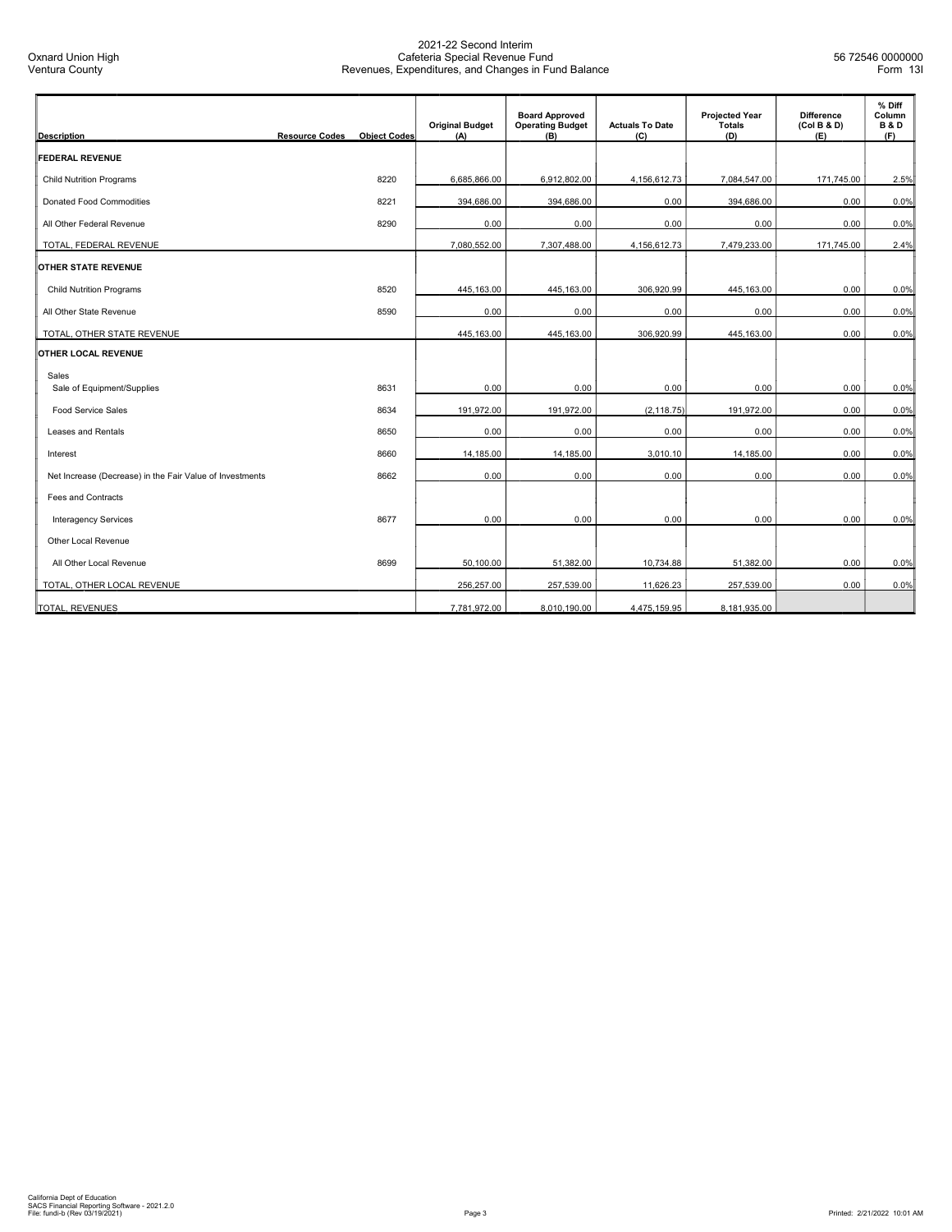| <b>Description</b>                                       | <b>Resource Codes</b> | <b>Object Codes</b> | <b>Original Budget</b><br>(A) | <b>Board Approved</b><br><b>Operating Budget</b><br>(B) | <b>Actuals To Date</b><br>(C) | <b>Projected Year</b><br>Totals<br>(D) | <b>Difference</b><br>(Col B & D)<br>(E) | % Diff<br>Column<br><b>B&amp;D</b><br>(F) |
|----------------------------------------------------------|-----------------------|---------------------|-------------------------------|---------------------------------------------------------|-------------------------------|----------------------------------------|-----------------------------------------|-------------------------------------------|
| <b>FEDERAL REVENUE</b>                                   |                       |                     |                               |                                                         |                               |                                        |                                         |                                           |
| <b>Child Nutrition Programs</b>                          |                       | 8220                | 6,685,866.00                  | 6,912,802.00                                            | 4,156,612.73                  | 7,084,547.00                           | 171,745.00                              | 2.5%                                      |
| Donated Food Commodities                                 |                       | 8221                | 394,686.00                    | 394,686.00                                              | 0.00                          | 394,686.00                             | 0.00                                    | 0.0%                                      |
| All Other Federal Revenue                                |                       | 8290                | 0.00                          | 0.00                                                    | 0.00                          | 0.00                                   | 0.00                                    | 0.0%                                      |
| TOTAL, FEDERAL REVENUE                                   |                       |                     | 7,080,552.00                  | 7,307,488.00                                            | 4,156,612.73                  | 7,479,233.00                           | 171,745.00                              | 2.4%                                      |
| <b>OTHER STATE REVENUE</b>                               |                       |                     |                               |                                                         |                               |                                        |                                         |                                           |
| <b>Child Nutrition Programs</b>                          |                       | 8520                | 445,163.00                    | 445,163.00                                              | 306,920.99                    | 445,163.00                             | 0.00                                    | 0.0%                                      |
| All Other State Revenue                                  |                       | 8590                | 0.00                          | 0.00                                                    | 0.00                          | 0.00                                   | 0.00                                    | 0.0%                                      |
| TOTAL, OTHER STATE REVENUE                               |                       |                     | 445,163.00                    | 445,163.00                                              | 306,920.99                    | 445,163.00                             | 0.00                                    | 0.0%                                      |
| <b>OTHER LOCAL REVENUE</b>                               |                       |                     |                               |                                                         |                               |                                        |                                         |                                           |
| Sales                                                    |                       |                     |                               |                                                         |                               |                                        |                                         |                                           |
| Sale of Equipment/Supplies                               |                       | 8631                | 0.00                          | 0.00                                                    | 0.00                          | 0.00                                   | 0.00                                    | 0.0%                                      |
| <b>Food Service Sales</b>                                |                       | 8634                | 191.972.00                    | 191,972.00                                              | (2, 118.75)                   | 191,972.00                             | 0.00                                    | 0.0%                                      |
| Leases and Rentals                                       |                       | 8650                | 0.00                          | 0.00                                                    | 0.00                          | 0.00                                   | 0.00                                    | 0.0%                                      |
| Interest                                                 |                       | 8660                | 14,185.00                     | 14,185.00                                               | 3,010.10                      | 14,185.00                              | 0.00                                    | 0.0%                                      |
| Net Increase (Decrease) in the Fair Value of Investments |                       | 8662                | 0.00                          | 0.00                                                    | 0.00                          | 0.00                                   | 0.00                                    | 0.0%                                      |
| Fees and Contracts                                       |                       |                     |                               |                                                         |                               |                                        |                                         |                                           |
| <b>Interagency Services</b>                              |                       | 8677                | 0.00                          | 0.00                                                    | 0.00                          | 0.00                                   | 0.00                                    | 0.0%                                      |
| Other Local Revenue                                      |                       |                     |                               |                                                         |                               |                                        |                                         |                                           |
| All Other Local Revenue                                  |                       | 8699                | 50.100.00                     | 51,382.00                                               | 10,734.88                     | 51,382.00                              | 0.00                                    | 0.0%                                      |
| TOTAL, OTHER LOCAL REVENUE                               |                       |                     | 256,257.00                    | 257,539.00                                              | 11,626.23                     | 257,539.00                             | 0.00                                    | 0.0%                                      |
| TOTAL, REVENUES                                          |                       |                     | 7,781,972.00                  | 8,010,190.00                                            | 4,475,159.95                  | 8,181,935.00                           |                                         |                                           |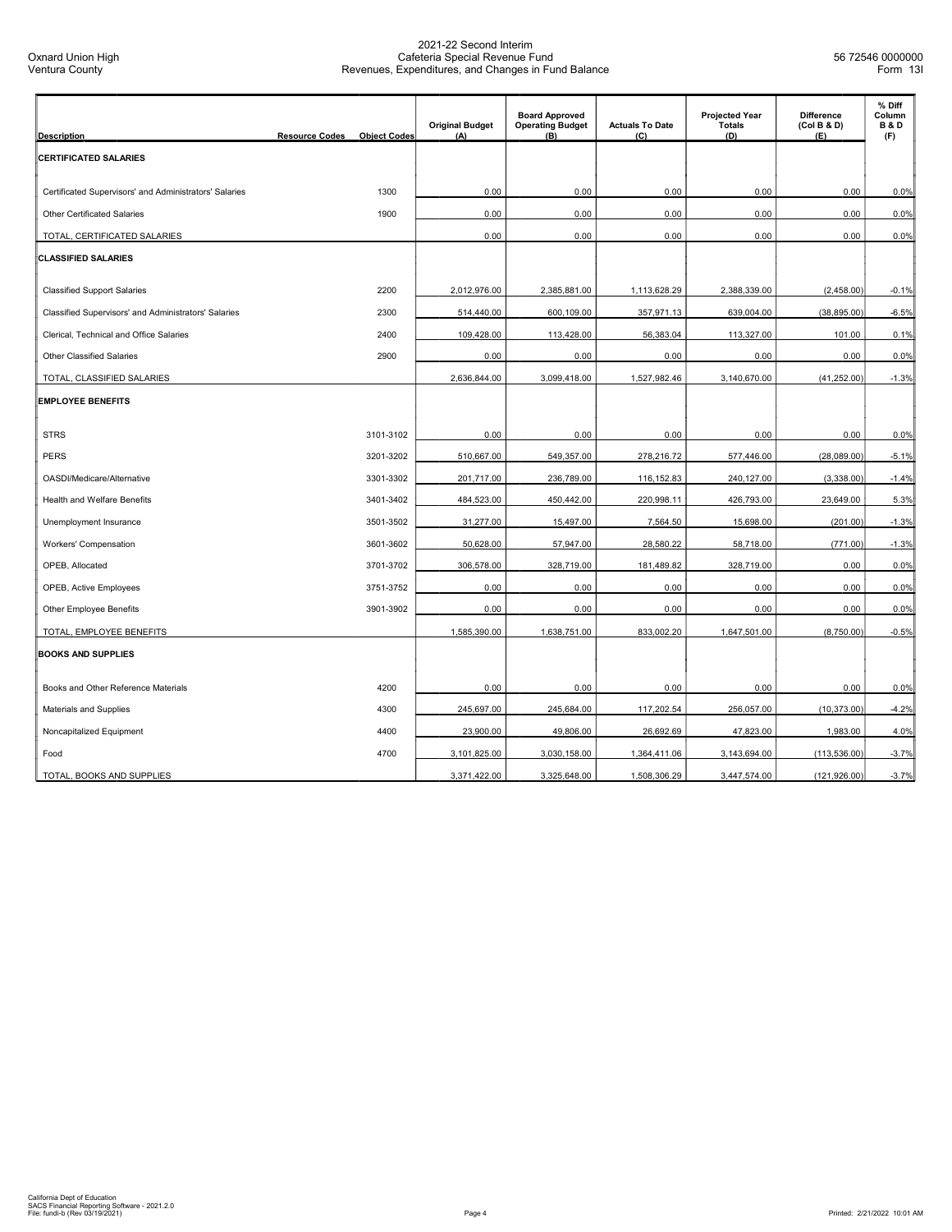| <b>Description</b>                                     | <b>Resource Codes</b> | <b>Object Codes</b> | <b>Original Budget</b><br>(A) | <b>Board Approved</b><br><b>Operating Budget</b><br>(B) | <b>Actuals To Date</b><br>(C) | <b>Projected Year</b><br><b>Totals</b><br>(D) | <b>Difference</b><br>(Col B & D)<br>(E) | % Diff<br>Column<br><b>B&amp;D</b><br>(F) |
|--------------------------------------------------------|-----------------------|---------------------|-------------------------------|---------------------------------------------------------|-------------------------------|-----------------------------------------------|-----------------------------------------|-------------------------------------------|
| <b>CERTIFICATED SALARIES</b>                           |                       |                     |                               |                                                         |                               |                                               |                                         |                                           |
| Certificated Supervisors' and Administrators' Salaries |                       | 1300                | 0.00                          | 0.00                                                    | 0.00                          | 0.00                                          | 0.00                                    | 0.0%                                      |
| <b>Other Certificated Salaries</b>                     |                       | 1900                | 0.00                          | 0.00                                                    | 0.00                          | 0.00                                          | 0.00                                    | 0.0%                                      |
| TOTAL, CERTIFICATED SALARIES                           |                       |                     | 0.00                          | 0.00                                                    | 0.00                          | 0.00                                          | 0.00                                    | 0.0%                                      |
| <b>CLASSIFIED SALARIES</b>                             |                       |                     |                               |                                                         |                               |                                               |                                         |                                           |
| <b>Classified Support Salaries</b>                     |                       | 2200                | 2,012,976.00                  | 2,385,881.00                                            | 1,113,628.29                  | 2,388,339.00                                  | (2,458.00)                              | $-0.1%$                                   |
| Classified Supervisors' and Administrators' Salaries   |                       | 2300                | 514,440.00                    | 600,109.00                                              | 357,971.13                    | 639,004.00                                    | (38, 895.00)                            | $-6.5%$                                   |
| Clerical, Technical and Office Salaries                |                       | 2400                | 109,428.00                    | 113,428.00                                              | 56,383.04                     | 113,327.00                                    | 101.00                                  | 0.1%                                      |
| <b>Other Classified Salaries</b>                       |                       | 2900                | 0.00                          | 0.00                                                    | 0.00                          | 0.00                                          | 0.00                                    | 0.0%                                      |
| TOTAL, CLASSIFIED SALARIES                             |                       |                     | 2,636,844.00                  | 3,099,418.00                                            | 1,527,982.46                  | 3,140,670.00                                  | (41, 252.00)                            | $-1.3%$                                   |
| <b>EMPLOYEE BENEFITS</b>                               |                       |                     |                               |                                                         |                               |                                               |                                         |                                           |
| <b>STRS</b>                                            |                       | 3101-3102           | 0.00                          | 0.00                                                    | 0.00                          | 0.00                                          | 0.00                                    | 0.0%                                      |
| <b>PERS</b>                                            |                       | 3201-3202           | 510,667.00                    | 549,357.00                                              | 278,216.72                    | 577,446.00                                    | (28,089.00)                             | $-5.1%$                                   |
| OASDI/Medicare/Alternative                             |                       | 3301-3302           | 201,717.00                    | 236,789.00                                              | 116,152.83                    | 240,127.00                                    | (3,338.00)                              | $-1.4%$                                   |
| Health and Welfare Benefits                            |                       | 3401-3402           | 484,523.00                    | 450,442.00                                              | 220,998.11                    | 426,793.00                                    | 23,649.00                               | 5.3%                                      |
| Unemployment Insurance                                 |                       | 3501-3502           | 31,277.00                     | 15,497.00                                               | 7,564.50                      | 15,698.00                                     | (201.00)                                | $-1.3%$                                   |
| <b>Workers' Compensation</b>                           |                       | 3601-3602           | 50,628.00                     | 57,947.00                                               | 28,580.22                     | 58,718.00                                     | (771.00)                                | $-1.3%$                                   |
| OPEB, Allocated                                        |                       | 3701-3702           | 306,578.00                    | 328,719.00                                              | 181,489.82                    | 328,719.00                                    | 0.00                                    | 0.0%                                      |
| OPEB, Active Employees                                 |                       | 3751-3752           | 0.00                          | 0.00                                                    | 0.00                          | 0.00                                          | 0.00                                    | 0.0%                                      |
| <b>Other Employee Benefits</b>                         |                       | 3901-3902           | 0.00                          | 0.00                                                    | 0.00                          | 0.00                                          | 0.00                                    | 0.0%                                      |
| TOTAL, EMPLOYEE BENEFITS                               |                       |                     | 1,585,390.00                  | 1,638,751.00                                            | 833,002.20                    | 1,647,501.00                                  | (8,750.00)                              | $-0.5%$                                   |
| <b>BOOKS AND SUPPLIES</b>                              |                       |                     |                               |                                                         |                               |                                               |                                         |                                           |
| Books and Other Reference Materials                    |                       | 4200                | 0.00                          | 0.00                                                    | 0.00                          | 0.00                                          | 0.00                                    | 0.0%                                      |
| Materials and Supplies                                 |                       | 4300                | 245,697.00                    | 245,684.00                                              | 117,202.54                    | 256,057.00                                    | (10, 373.00)                            | $-4.2%$                                   |
| Noncapitalized Equipment                               |                       | 4400                | 23,900.00                     | 49,806.00                                               | 26,692.69                     | 47,823.00                                     | 1,983.00                                | 4.0%                                      |
| Food                                                   |                       | 4700                | 3,101,825.00                  | 3,030,158.00                                            | 1,364,411.06                  | 3,143,694.00                                  | (113, 536.00)                           | $-3.7%$                                   |
| TOTAL, BOOKS AND SUPPLIES                              |                       |                     | 3,371,422.00                  | 3,325,648.00                                            | 1,508,306.29                  | 3,447,574.00                                  | (121, 926.00)                           | $-3.7%$                                   |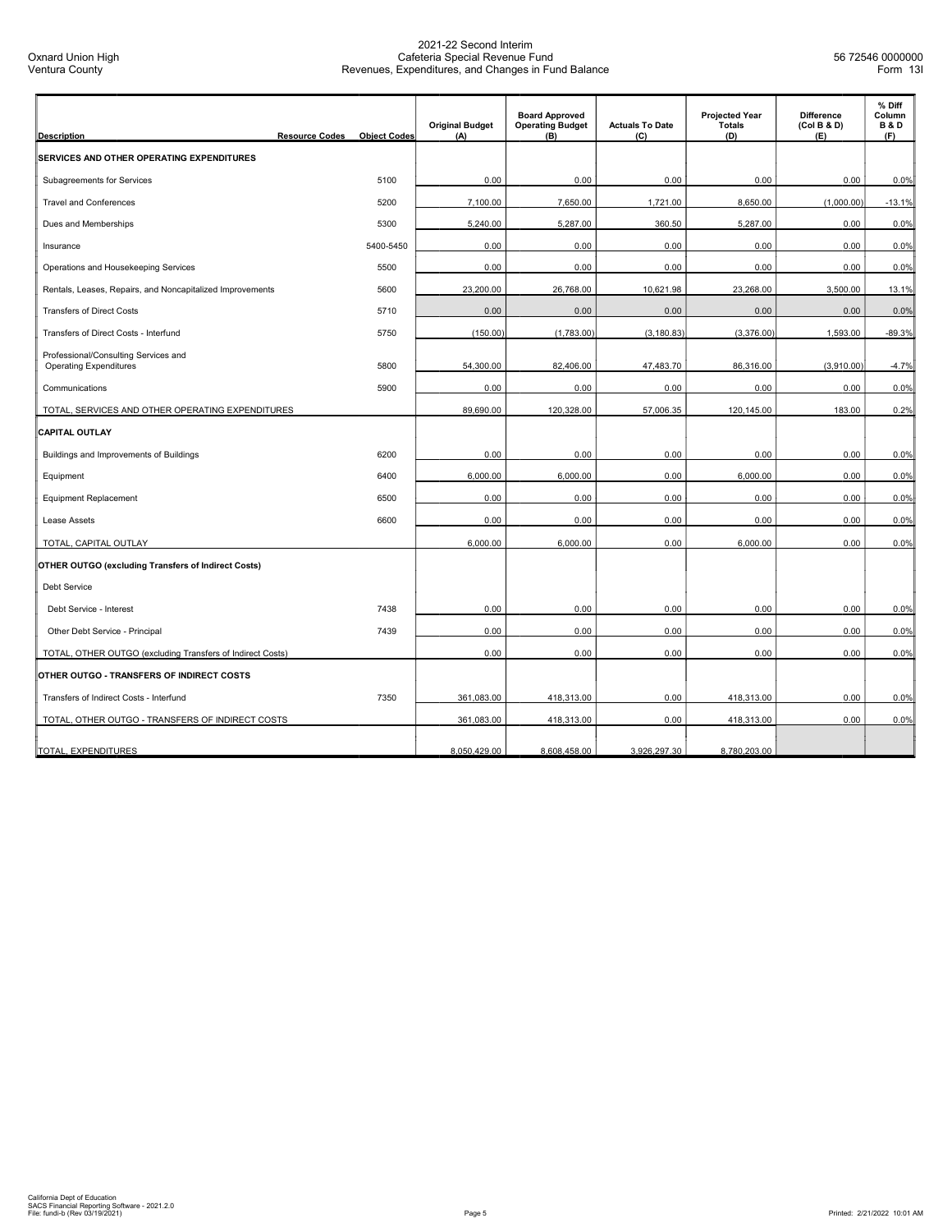| <b>Description</b>                                                    | <b>Resource Codes</b><br><b>Object Codes</b> | <b>Original Budget</b><br>(A) | <b>Board Approved</b><br><b>Operating Budget</b><br>(B) | <b>Actuals To Date</b><br>(C) | <b>Projected Year</b><br><b>Totals</b><br>(D) | <b>Difference</b><br>(Col B & D)<br>(E) | % Diff<br>Column<br><b>B&amp;D</b><br>(F) |
|-----------------------------------------------------------------------|----------------------------------------------|-------------------------------|---------------------------------------------------------|-------------------------------|-----------------------------------------------|-----------------------------------------|-------------------------------------------|
| SERVICES AND OTHER OPERATING EXPENDITURES                             |                                              |                               |                                                         |                               |                                               |                                         |                                           |
| Subagreements for Services                                            | 5100                                         | 0.00                          | 0.00                                                    | 0.00                          | 0.00                                          | 0.00                                    | 0.0%                                      |
| <b>Travel and Conferences</b>                                         | 5200                                         | 7,100.00                      | 7,650.00                                                | 1,721.00                      | 8,650.00                                      | (1,000.00)                              | $-13.1%$                                  |
| Dues and Memberships                                                  | 5300                                         | 5,240.00                      | 5,287.00                                                | 360.50                        | 5,287.00                                      | 0.00                                    | 0.0%                                      |
| Insurance                                                             | 5400-5450                                    | 0.00                          | 0.00                                                    | 0.00                          | 0.00                                          | 0.00                                    | 0.0%                                      |
| Operations and Housekeeping Services                                  | 5500                                         | 0.00                          | 0.00                                                    | 0.00                          | 0.00                                          | 0.00                                    | 0.0%                                      |
| Rentals, Leases, Repairs, and Noncapitalized Improvements             | 5600                                         | 23,200.00                     | 26,768.00                                               | 10,621.98                     | 23,268.00                                     | 3,500.00                                | 13.1%                                     |
| <b>Transfers of Direct Costs</b>                                      | 5710                                         | 0.00                          | 0.00                                                    | 0.00                          | 0.00                                          | 0.00                                    | 0.0%                                      |
| Transfers of Direct Costs - Interfund                                 | 5750                                         | (150.00)                      | (1,783.00)                                              | (3, 180.83)                   | (3,376.00)                                    | 1,593.00                                | $-89.3%$                                  |
| Professional/Consulting Services and<br><b>Operating Expenditures</b> | 5800                                         | 54,300.00                     | 82,406.00                                               | 47,483.70                     | 86,316.00                                     | (3,910.00)                              | $-4.7%$                                   |
| Communications                                                        | 5900                                         | 0.00                          | 0.00                                                    | 0.00                          | 0.00                                          | 0.00                                    | 0.0%                                      |
| TOTAL, SERVICES AND OTHER OPERATING EXPENDITURES                      |                                              | 89,690.00                     | 120,328.00                                              | 57,006.35                     | 120,145.00                                    | 183.00                                  | 0.2%                                      |
| <b>CAPITAL OUTLAY</b>                                                 |                                              |                               |                                                         |                               |                                               |                                         |                                           |
| Buildings and Improvements of Buildings                               | 6200                                         | 0.00                          | 0.00                                                    | 0.00                          | 0.00                                          | 0.00                                    | 0.0%                                      |
| Equipment                                                             | 6400                                         | 6,000.00                      | 6,000.00                                                | 0.00                          | 6,000.00                                      | 0.00                                    | 0.0%                                      |
| <b>Equipment Replacement</b>                                          | 6500                                         | 0.00                          | 0.00                                                    | 0.00                          | 0.00                                          | 0.00                                    | 0.0%                                      |
| Lease Assets                                                          | 6600                                         | 0.00                          | 0.00                                                    | 0.00                          | 0.00                                          | 0.00                                    | 0.0%                                      |
| TOTAL, CAPITAL OUTLAY                                                 |                                              | 6,000.00                      | 6,000.00                                                | 0.00                          | 6,000.00                                      | 0.00                                    | 0.0%                                      |
| <b>OTHER OUTGO (excluding Transfers of Indirect Costs)</b>            |                                              |                               |                                                         |                               |                                               |                                         |                                           |
| <b>Debt Service</b>                                                   |                                              |                               |                                                         |                               |                                               |                                         |                                           |
| Debt Service - Interest                                               | 7438                                         | 0.00                          | 0.00                                                    | 0.00                          | 0.00                                          | 0.00                                    | 0.0%                                      |
| Other Debt Service - Principal                                        | 7439                                         | 0.00                          | 0.00                                                    | 0.00                          | 0.00                                          | 0.00                                    | 0.0%                                      |
| TOTAL, OTHER OUTGO (excluding Transfers of Indirect Costs)            |                                              | 0.00                          | 0.00                                                    | 0.00                          | 0.00                                          | 0.00                                    | 0.0%                                      |
| OTHER OUTGO - TRANSFERS OF INDIRECT COSTS                             |                                              |                               |                                                         |                               |                                               |                                         |                                           |
| Transfers of Indirect Costs - Interfund                               | 7350                                         | 361,083.00                    | 418,313.00                                              | 0.00                          | 418,313.00                                    | 0.00                                    | 0.0%                                      |
| TOTAL, OTHER OUTGO - TRANSFERS OF INDIRECT COSTS                      |                                              | 361,083.00                    | 418,313.00                                              | 0.00                          | 418,313.00                                    | 0.00                                    | 0.0%                                      |
| TOTAL, EXPENDITURES                                                   |                                              | 8,050,429.00                  | 8,608,458.00                                            | 3.926.297.30                  | 8,780,203.00                                  |                                         |                                           |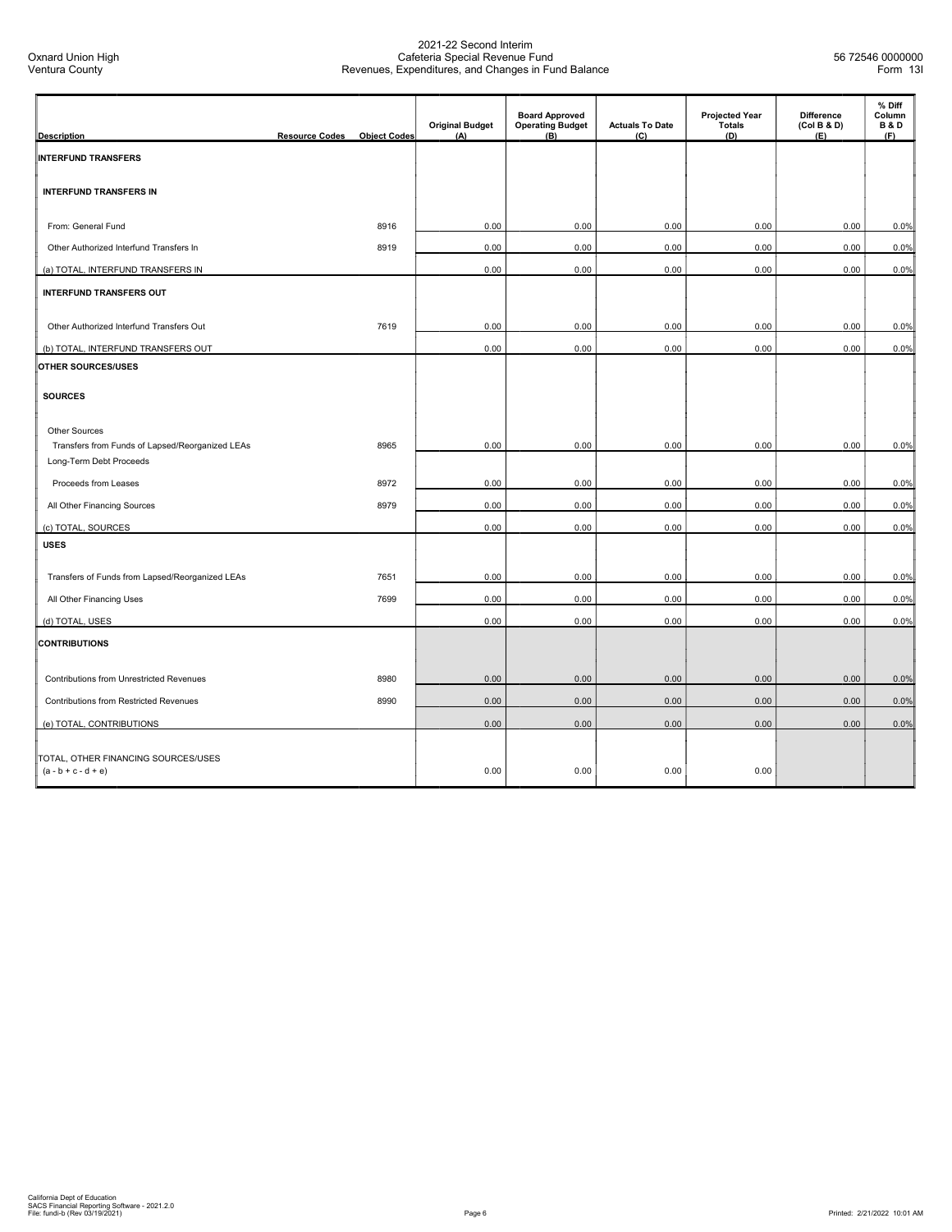| <b>Description</b>                                                                          | <b>Resource Codes</b> | <b>Object Codes</b> | <b>Original Budget</b><br>(A) | <b>Board Approved</b><br><b>Operating Budget</b><br>(B) | <b>Actuals To Date</b><br>(C) | <b>Projected Year</b><br>Totals<br>(D) | <b>Difference</b><br>(Col B & D)<br>(E) | % Diff<br>Column<br><b>B&amp;D</b><br>(F) |
|---------------------------------------------------------------------------------------------|-----------------------|---------------------|-------------------------------|---------------------------------------------------------|-------------------------------|----------------------------------------|-----------------------------------------|-------------------------------------------|
| <b>INTERFUND TRANSFERS</b>                                                                  |                       |                     |                               |                                                         |                               |                                        |                                         |                                           |
| <b>INTERFUND TRANSFERS IN</b>                                                               |                       |                     |                               |                                                         |                               |                                        |                                         |                                           |
| From: General Fund                                                                          |                       | 8916                | 0.00                          | 0.00                                                    | 0.00                          | 0.00                                   | 0.00                                    | 0.0%                                      |
| Other Authorized Interfund Transfers In                                                     |                       | 8919                | 0.00                          | 0.00                                                    | 0.00                          | 0.00                                   | 0.00                                    | 0.0%                                      |
| (a) TOTAL, INTERFUND TRANSFERS IN                                                           |                       |                     | 0.00                          | 0.00                                                    | 0.00                          | 0.00                                   | 0.00                                    | 0.0%                                      |
| <b>INTERFUND TRANSFERS OUT</b>                                                              |                       |                     |                               |                                                         |                               |                                        |                                         |                                           |
| Other Authorized Interfund Transfers Out                                                    |                       | 7619                | 0.00                          | 0.00                                                    | 0.00                          | 0.00                                   | 0.00                                    | 0.0%                                      |
| (b) TOTAL, INTERFUND TRANSFERS OUT                                                          |                       |                     | 0.00                          | 0.00                                                    | 0.00                          | 0.00                                   | 0.00                                    | 0.0%                                      |
| OTHER SOURCES/USES                                                                          |                       |                     |                               |                                                         |                               |                                        |                                         |                                           |
| <b>SOURCES</b>                                                                              |                       |                     |                               |                                                         |                               |                                        |                                         |                                           |
| Other Sources<br>Transfers from Funds of Lapsed/Reorganized LEAs<br>Long-Term Debt Proceeds |                       | 8965                | 0.00                          | 0.00                                                    | 0.00                          | 0.00                                   | 0.00                                    | 0.0%                                      |
| Proceeds from Leases                                                                        |                       | 8972                | 0.00                          | 0.00                                                    | 0.00                          | 0.00                                   | 0.00                                    | 0.0%                                      |
| All Other Financing Sources                                                                 |                       | 8979                | 0.00                          | 0.00                                                    | 0.00                          | 0.00                                   | 0.00                                    | 0.0%                                      |
| (c) TOTAL, SOURCES                                                                          |                       |                     | 0.00                          | 0.00                                                    | 0.00                          | 0.00                                   | 0.00                                    | 0.0%                                      |
| <b>USES</b>                                                                                 |                       |                     |                               |                                                         |                               |                                        |                                         |                                           |
| Transfers of Funds from Lapsed/Reorganized LEAs                                             |                       | 7651                | 0.00                          | 0.00                                                    | 0.00                          | 0.00                                   | 0.00                                    | 0.0%                                      |
| All Other Financing Uses                                                                    |                       | 7699                | 0.00                          | 0.00                                                    | 0.00                          | 0.00                                   | 0.00                                    | 0.0%                                      |
| (d) TOTAL, USES                                                                             |                       |                     | 0.00                          | 0.00                                                    | 0.00                          | 0.00                                   | 0.00                                    | 0.0%                                      |
| <b>CONTRIBUTIONS</b>                                                                        |                       |                     |                               |                                                         |                               |                                        |                                         |                                           |
| Contributions from Unrestricted Revenues                                                    |                       | 8980                | 0.00                          | 0.00                                                    | 0.00                          | 0.00                                   | 0.00                                    | 0.0%                                      |
| <b>Contributions from Restricted Revenues</b>                                               |                       | 8990                | 0.00                          | 0.00                                                    | 0.00                          | 0.00                                   | 0.00                                    | 0.0%                                      |
| (e) TOTAL, CONTRIBUTIONS                                                                    |                       |                     | 0.00                          | 0.00                                                    | 0.00                          | 0.00                                   | 0.00                                    | 0.0%                                      |
| TOTAL, OTHER FINANCING SOURCES/USES<br>$(a - b + c - d + e)$                                |                       |                     | 0.00                          | 0.00                                                    | 0.00                          | 0.00                                   |                                         |                                           |